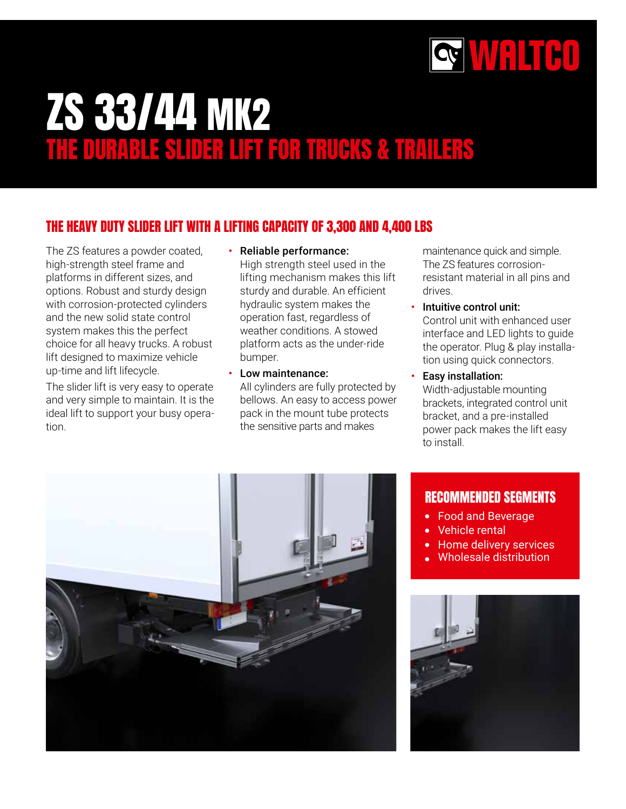

# ZS 33/44 MK2 THE DURABLE SLIDER LIFT FOR TRUCKS & TRAILERS

#### THE HEAVY DUTY SLIDER LIFT WITH A LIFTING CAPACITY OF 3,300 AND 4,400 LBS

The ZS features a powder coated, high-strength steel frame and platforms in different sizes, and options. Robust and sturdy design with corrosion-protected cylinders and the new solid state control system makes this the perfect choice for all heavy trucks. A robust lift designed to maximize vehicle up-time and lift lifecycle.

The slider lift is very easy to operate and very simple to maintain. It is the ideal lift to support your busy operation.

- Reliable performance: High strength steel used in the lifting mechanism makes this lift sturdy and durable. An efficient hydraulic system makes the operation fast, regardless of weather conditions. A stowed platform acts as the under-ride bumper.
- Low maintenance: All cylinders are fully protected by bellows. An easy to access power pack in the mount tube protects the sensitive parts and makes

maintenance quick and simple. The ZS features corrosionresistant material in all pins and drives.

- Intuitive control unit: Control unit with enhanced user interface and LED lights to guide the operator. Plug & play installation using quick connectors.
- Easy installation: Width-adjustable mounting brackets, integrated control unit bracket, and a pre-installed power pack makes the lift easy to install.



#### RECOMMENDED SEGMENTS

- Food and Beverage
- Vehicle rental
- $\bullet$ Home delivery services
- Wholesale distribution